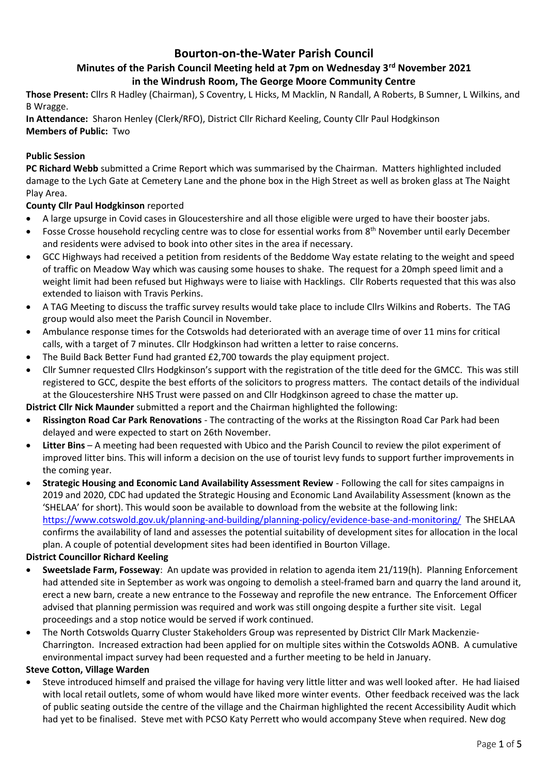# **Bourton-on-the-Water Parish Council**

# **Minutes of the Parish Council Meeting held at 7pm on Wednesday 3rd November 2021 in the Windrush Room, The George Moore Community Centre**

**Those Present:** Cllrs R Hadley (Chairman), S Coventry, L Hicks, M Macklin, N Randall, A Roberts, B Sumner, L Wilkins, and B Wragge.

**In Attendance:** Sharon Henley (Clerk/RFO), District Cllr Richard Keeling, County Cllr Paul Hodgkinson **Members of Public:** Two

#### **Public Session**

**PC Richard Webb** submitted a Crime Report which was summarised by the Chairman. Matters highlighted included damage to the Lych Gate at Cemetery Lane and the phone box in the High Street as well as broken glass at The Naight Play Area.

### **County Cllr Paul Hodgkinson** reported

- A large upsurge in Covid cases in Gloucestershire and all those eligible were urged to have their booster jabs.
- Fosse Crosse household recycling centre was to close for essential works from 8<sup>th</sup> November until early December and residents were advised to book into other sites in the area if necessary.
- GCC Highways had received a petition from residents of the Beddome Way estate relating to the weight and speed of traffic on Meadow Way which was causing some houses to shake. The request for a 20mph speed limit and a weight limit had been refused but Highways were to liaise with Hacklings. Cllr Roberts requested that this was also extended to liaison with Travis Perkins.
- A TAG Meeting to discuss the traffic survey results would take place to include Cllrs Wilkins and Roberts. The TAG group would also meet the Parish Council in November.
- Ambulance response times for the Cotswolds had deteriorated with an average time of over 11 mins for critical calls, with a target of 7 minutes. Cllr Hodgkinson had written a letter to raise concerns.
- The Build Back Better Fund had granted £2,700 towards the play equipment project.
- Cllr Sumner requested Cllrs Hodgkinson's support with the registration of the title deed for the GMCC. This was still registered to GCC, despite the best efforts of the solicitors to progress matters. The contact details of the individual at the Gloucestershire NHS Trust were passed on and Cllr Hodgkinson agreed to chase the matter up.

### **District Cllr Nick Maunder** submitted a report and the Chairman highlighted the following:

- **Rissington Road Car Park Renovations** The contracting of the works at the Rissington Road Car Park had been delayed and were expected to start on 26th November.
- **Litter Bins** A meeting had been requested with Ubico and the Parish Council to review the pilot experiment of improved litter bins. This will inform a decision on the use of tourist levy funds to support further improvements in the coming year.
- **Strategic Housing and Economic Land Availability Assessment Review** Following the call for sites campaigns in 2019 and 2020, CDC had updated the Strategic Housing and Economic Land Availability Assessment (known as the 'SHELAA' for short). This would soon be available to download from the website at the following link: <https://www.cotswold.gov.uk/planning-and-building/planning-policy/evidence-base-and-monitoring/>The SHELAA confirms the availability of land and assesses the potential suitability of development sites for allocation in the local plan. A couple of potential development sites had been identified in Bourton Village.

#### **District Councillor Richard Keeling**

- **Sweetslade Farm, Fosseway**: An update was provided in relation to agenda item 21/119(h). Planning Enforcement had attended site in September as work was ongoing to demolish a steel-framed barn and quarry the land around it, erect a new barn, create a new entrance to the Fosseway and reprofile the new entrance. The Enforcement Officer advised that planning permission was required and work was still ongoing despite a further site visit. Legal proceedings and a stop notice would be served if work continued.
- The North Cotswolds Quarry Cluster Stakeholders Group was represented by District Cllr Mark Mackenzie-Charrington. Increased extraction had been applied for on multiple sites within the Cotswolds AONB. A cumulative environmental impact survey had been requested and a further meeting to be held in January.

#### **Steve Cotton, Village Warden**

• Steve introduced himself and praised the village for having very little litter and was well looked after. He had liaised with local retail outlets, some of whom would have liked more winter events. Other feedback received was the lack of public seating outside the centre of the village and the Chairman highlighted the recent Accessibility Audit which had yet to be finalised. Steve met with PCSO Katy Perrett who would accompany Steve when required. New dog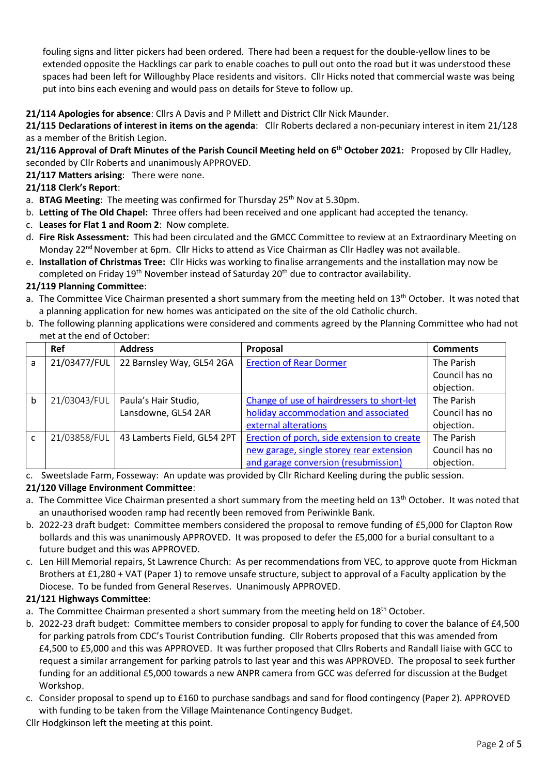fouling signs and litter pickers had been ordered. There had been a request for the double-yellow lines to be extended opposite the Hacklings car park to enable coaches to pull out onto the road but it was understood these spaces had been left for Willoughby Place residents and visitors. Cllr Hicks noted that commercial waste was being put into bins each evening and would pass on details for Steve to follow up.

**21/114 Apologies for absence**: Cllrs A Davis and P Millett and District Cllr Nick Maunder.

**21/115 Declarations of interest in items on the agenda**: Cllr Roberts declared a non-pecuniary interest in item 21/128 as a member of the British Legion.

**21/116 Approval of Draft Minutes of the Parish Council Meeting held on 6th October 2021:** Proposed by Cllr Hadley, seconded by Cllr Roberts and unanimously APPROVED.

**21/117 Matters arising**: There were none.

### **21/118 Clerk's Report**:

- a. **BTAG Meeting**: The meeting was confirmed for Thursday 25<sup>th</sup> Nov at 5.30pm.
- b. **Letting of The Old Chapel:** Three offers had been received and one applicant had accepted the tenancy.
- c. **Leases for Flat 1 and Room 2**: Now complete.
- d. **Fire Risk Assessment:** This had been circulated and the GMCC Committee to review at an Extraordinary Meeting on Monday 22<sup>nd</sup> November at 6pm. Cllr Hicks to attend as Vice Chairman as Cllr Hadley was not available.
- e. **Installation of Christmas Tree:** Cllr Hicks was working to finalise arrangements and the installation may now be completed on Friday 19<sup>th</sup> November instead of Saturday 20<sup>th</sup> due to contractor availability.

### **21/119 Planning Committee**:

- a. The Committee Vice Chairman presented a short summary from the meeting held on 13<sup>th</sup> October. It was noted that a planning application for new homes was anticipated on the site of the old Catholic church.
- b. The following planning applications were considered and comments agreed by the Planning Committee who had not met at the end of October:

|              | Ref          | <b>Address</b>              | Proposal                                    | <b>Comments</b> |
|--------------|--------------|-----------------------------|---------------------------------------------|-----------------|
| a            | 21/03477/FUL | 22 Barnsley Way, GL54 2GA   | <b>Erection of Rear Dormer</b>              | The Parish      |
|              |              |                             |                                             | Council has no  |
|              |              |                             |                                             | objection.      |
| $\mathbf b$  | 21/03043/FUL | Paula's Hair Studio,        | Change of use of hairdressers to short-let  | The Parish      |
|              |              | Lansdowne, GL54 2AR         | holiday accommodation and associated        | Council has no  |
|              |              |                             | external alterations                        | objection.      |
| $\mathsf{C}$ | 21/03858/FUL | 43 Lamberts Field, GL54 2PT | Erection of porch, side extension to create | The Parish      |
|              |              |                             | new garage, single storey rear extension    | Council has no  |
|              |              |                             | and garage conversion (resubmission)        | objection.      |

c. Sweetslade Farm, Fosseway: An update was provided by Cllr Richard Keeling during the public session.

### **21/120 Village Environment Committee**:

- a. The Committee Vice Chairman presented a short summary from the meeting held on 13<sup>th</sup> October. It was noted that an unauthorised wooden ramp had recently been removed from Periwinkle Bank.
- b. 2022-23 draft budget: Committee members considered the proposal to remove funding of £5,000 for Clapton Row bollards and this was unanimously APPROVED. It was proposed to defer the £5,000 for a burial consultant to a future budget and this was APPROVED.
- c. Len Hill Memorial repairs, St Lawrence Church: As per recommendations from VEC, to approve quote from Hickman Brothers at £1,280 + VAT (Paper 1) to remove unsafe structure, subject to approval of a Faculty application by the Diocese. To be funded from General Reserves. Unanimously APPROVED.

## **21/121 Highways Committee**:

- a. The Committee Chairman presented a short summary from the meeting held on 18<sup>th</sup> October.
- b. 2022-23 draft budget: Committee members to consider proposal to apply for funding to cover the balance of £4,500 for parking patrols from CDC's Tourist Contribution funding. Cllr Roberts proposed that this was amended from £4,500 to £5,000 and this was APPROVED. It was further proposed that Cllrs Roberts and Randall liaise with GCC to request a similar arrangement for parking patrols to last year and this was APPROVED. The proposal to seek further funding for an additional £5,000 towards a new ANPR camera from GCC was deferred for discussion at the Budget Workshop.
- c. Consider proposal to spend up to £160 to purchase sandbags and sand for flood contingency (Paper 2). APPROVED with funding to be taken from the Village Maintenance Contingency Budget.

Cllr Hodgkinson left the meeting at this point.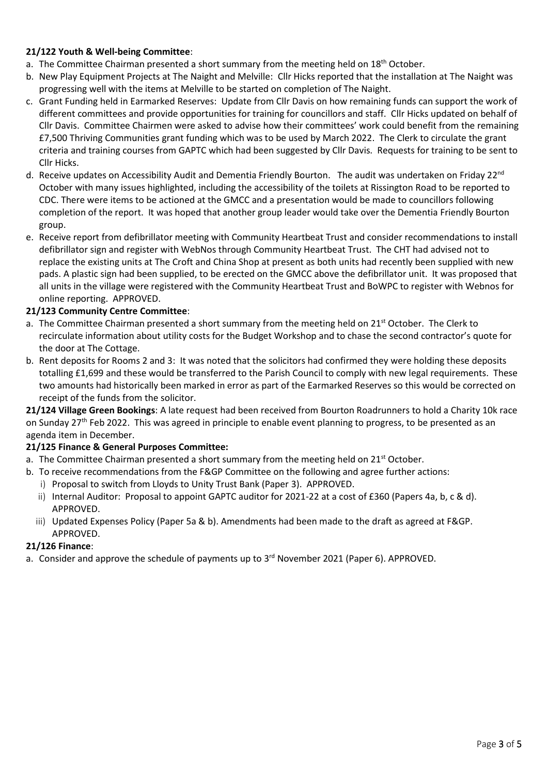### **21/122 Youth & Well-being Committee**:

- a. The Committee Chairman presented a short summary from the meeting held on  $18<sup>th</sup>$  October.
- b. New Play Equipment Projects at The Naight and Melville: Cllr Hicks reported that the installation at The Naight was progressing well with the items at Melville to be started on completion of The Naight.
- c. Grant Funding held in Earmarked Reserves: Update from Cllr Davis on how remaining funds can support the work of different committees and provide opportunities for training for councillors and staff. Cllr Hicks updated on behalf of Cllr Davis. Committee Chairmen were asked to advise how their committees' work could benefit from the remaining £7,500 Thriving Communities grant funding which was to be used by March 2022. The Clerk to circulate the grant criteria and training courses from GAPTC which had been suggested by Cllr Davis. Requests for training to be sent to Cllr Hicks.
- d. Receive updates on Accessibility Audit and Dementia Friendly Bourton. The audit was undertaken on Friday 22<sup>nd</sup> October with many issues highlighted, including the accessibility of the toilets at Rissington Road to be reported to CDC. There were items to be actioned at the GMCC and a presentation would be made to councillors following completion of the report. It was hoped that another group leader would take over the Dementia Friendly Bourton group.
- e. Receive report from defibrillator meeting with Community Heartbeat Trust and consider recommendations to install defibrillator sign and register with WebNos through Community Heartbeat Trust. The CHT had advised not to replace the existing units at The Croft and China Shop at present as both units had recently been supplied with new pads. A plastic sign had been supplied, to be erected on the GMCC above the defibrillator unit. It was proposed that all units in the village were registered with the Community Heartbeat Trust and BoWPC to register with Webnos for online reporting. APPROVED.

## **21/123 Community Centre Committee**:

- a. The Committee Chairman presented a short summary from the meeting held on 21<sup>st</sup> October. The Clerk to recirculate information about utility costs for the Budget Workshop and to chase the second contractor's quote for the door at The Cottage.
- b. Rent deposits for Rooms 2 and 3: It was noted that the solicitors had confirmed they were holding these deposits totalling £1,699 and these would be transferred to the Parish Council to comply with new legal requirements. These two amounts had historically been marked in error as part of the Earmarked Reserves so this would be corrected on receipt of the funds from the solicitor.

**21/124 Village Green Bookings**: A late request had been received from Bourton Roadrunners to hold a Charity 10k race on Sunday 27<sup>th</sup> Feb 2022. This was agreed in principle to enable event planning to progress, to be presented as an agenda item in December.

## **21/125 Finance & General Purposes Committee:**

- a. The Committee Chairman presented a short summary from the meeting held on  $21<sup>st</sup>$  October.
- b. To receive recommendations from the F&GP Committee on the following and agree further actions:
	- i) Proposal to switch from Lloyds to Unity Trust Bank (Paper 3). APPROVED.
	- ii) Internal Auditor: Proposal to appoint GAPTC auditor for 2021-22 at a cost of £360 (Papers 4a, b, c & d). APPROVED.
	- iii) Updated Expenses Policy (Paper 5a & b). Amendments had been made to the draft as agreed at F&GP. APPROVED.

## **21/126 Finance**:

a. Consider and approve the schedule of payments up to 3<sup>rd</sup> November 2021 (Paper 6). APPROVED.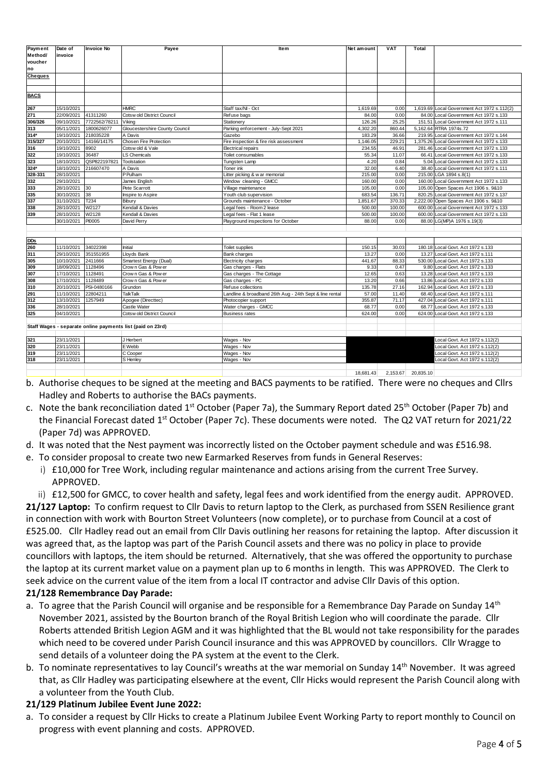| Payment Date of Invoice No Payee<br>Method/ invoice No Payee                                                  |                                                                                            | Net amount   VAT   Total                                                                                                                                                                                                                          |
|---------------------------------------------------------------------------------------------------------------|--------------------------------------------------------------------------------------------|---------------------------------------------------------------------------------------------------------------------------------------------------------------------------------------------------------------------------------------------------|
|                                                                                                               |                                                                                            |                                                                                                                                                                                                                                                   |
| voucher                                                                                                       |                                                                                            |                                                                                                                                                                                                                                                   |
|                                                                                                               |                                                                                            |                                                                                                                                                                                                                                                   |
| $\overline{\phantom{a}}$                                                                                      |                                                                                            |                                                                                                                                                                                                                                                   |
|                                                                                                               |                                                                                            |                                                                                                                                                                                                                                                   |
| RACS                                                                                                          |                                                                                            |                                                                                                                                                                                                                                                   |
|                                                                                                               |                                                                                            |                                                                                                                                                                                                                                                   |
|                                                                                                               |                                                                                            |                                                                                                                                                                                                                                                   |
|                                                                                                               |                                                                                            |                                                                                                                                                                                                                                                   |
|                                                                                                               |                                                                                            |                                                                                                                                                                                                                                                   |
|                                                                                                               |                                                                                            |                                                                                                                                                                                                                                                   |
|                                                                                                               |                                                                                            |                                                                                                                                                                                                                                                   |
|                                                                                                               |                                                                                            |                                                                                                                                                                                                                                                   |
|                                                                                                               |                                                                                            |                                                                                                                                                                                                                                                   |
|                                                                                                               |                                                                                            | 437 15/10/2021 141311260 1.619 1.619.89 1.000 1.619.69 1.000 1.619.69 1.619 1.619 1.619 1.619 1.619 1.619 1.619 1.619 1.619 1.619 1.619 1.619 1.619 1.619 1.619 1.619 1.619 1.619 1.619 1.619 1.619 1.619 1.619 1.619 1.619 1.                    |
|                                                                                                               |                                                                                            |                                                                                                                                                                                                                                                   |
|                                                                                                               |                                                                                            |                                                                                                                                                                                                                                                   |
|                                                                                                               |                                                                                            |                                                                                                                                                                                                                                                   |
|                                                                                                               |                                                                                            |                                                                                                                                                                                                                                                   |
|                                                                                                               |                                                                                            |                                                                                                                                                                                                                                                   |
|                                                                                                               |                                                                                            |                                                                                                                                                                                                                                                   |
|                                                                                                               |                                                                                            |                                                                                                                                                                                                                                                   |
|                                                                                                               |                                                                                            |                                                                                                                                                                                                                                                   |
|                                                                                                               |                                                                                            |                                                                                                                                                                                                                                                   |
|                                                                                                               |                                                                                            |                                                                                                                                                                                                                                                   |
|                                                                                                               |                                                                                            |                                                                                                                                                                                                                                                   |
|                                                                                                               |                                                                                            |                                                                                                                                                                                                                                                   |
|                                                                                                               |                                                                                            | <u> La Carlo de la Carlo de la Carlo de la Carlo de la Carlo de la Carlo de la Carlo de la Carlo de la Carlo de l</u>                                                                                                                             |
|                                                                                                               |                                                                                            |                                                                                                                                                                                                                                                   |
|                                                                                                               |                                                                                            |                                                                                                                                                                                                                                                   |
|                                                                                                               |                                                                                            | 150.15 30.03 180.18 Local Govt. Act 1972 s.133<br>13.27 0.00 13.27 Local Govt. Act 1972 s.111                                                                                                                                                     |
|                                                                                                               |                                                                                            |                                                                                                                                                                                                                                                   |
|                                                                                                               |                                                                                            | 441.67 88.33 530.00 Local Govt. Act 1972 s.133                                                                                                                                                                                                    |
|                                                                                                               | Gas charges - Flats<br>Gas charges - The Cottage<br>Gas charges - PC<br>Refuse collections | Cas charges - Flats<br>Cas charges - The Cottage<br>Cas charges - The Cottage<br>Cas charges - The Cottage<br>Cas charges - FC<br>Cas charges - FC<br>Cas charges - FC<br>Cas charges - FC<br>Cas charges - FC<br>Cas charges - FC<br>Cas charges |
|                                                                                                               |                                                                                            |                                                                                                                                                                                                                                                   |
|                                                                                                               |                                                                                            |                                                                                                                                                                                                                                                   |
|                                                                                                               |                                                                                            |                                                                                                                                                                                                                                                   |
|                                                                                                               |                                                                                            |                                                                                                                                                                                                                                                   |
|                                                                                                               |                                                                                            |                                                                                                                                                                                                                                                   |
|                                                                                                               |                                                                                            |                                                                                                                                                                                                                                                   |
|                                                                                                               |                                                                                            |                                                                                                                                                                                                                                                   |
|                                                                                                               |                                                                                            |                                                                                                                                                                                                                                                   |
| Staff Wages - separate online payments list (paid on 23rd)                                                    |                                                                                            |                                                                                                                                                                                                                                                   |
|                                                                                                               |                                                                                            |                                                                                                                                                                                                                                                   |
|                                                                                                               |                                                                                            |                                                                                                                                                                                                                                                   |
| 1921 23/11/2021 J Herbert Wages Nov<br>1920 23/11/2021 E Webb Wages Nov<br>1920 23/11/2021 C Cooper Wages Nov |                                                                                            |                                                                                                                                                                                                                                                   |
|                                                                                                               |                                                                                            |                                                                                                                                                                                                                                                   |

b. Authorise cheques to be signed at the meeting and BACS payments to be ratified. There were no cheques and Cllrs Hadley and Roberts to authorise the BACs payments. 18,681.43 2,153.67 20,835.10

**318** 23/11/2021 S Henley Shenley Wages - Nov 2,252.17 2,292.17 2,252.17 2,25 2,252.17 Local Govt. Act 1972 s.112(2)

- c. Note the bank reconciliation dated 1<sup>st</sup> October (Paper 7a), the Summary Report dated 25<sup>th</sup> October (Paper 7b) and the Financial Forecast dated 1<sup>st</sup> October (Paper 7c). These documents were noted. The Q2 VAT return for 2021/22 (Paper 7d) was APPROVED.
- d. It was noted that the Nest payment was incorrectly listed on the October payment schedule and was £516.98.
- e. To consider proposal to create two new Earmarked Reserves from funds in General Reserves:
	- i) £10,000 for Tree Work, including regular maintenance and actions arising from the current Tree Survey. APPROVED.
	- ii) £12,500 for GMCC, to cover health and safety, legal fees and work identified from the energy audit. APPROVED.

**21/127 Laptop:** To confirm request to Cllr Davis to return laptop to the Clerk, as purchased from SSEN Resilience grant in connection with work with Bourton Street Volunteers (now complete), or to purchase from Council at a cost of £525.00. Cllr Hadley read out an email from Cllr Davis outlining her reasons for retaining the laptop. After discussion it was agreed that, as the laptop was part of the Parish Council assets and there was no policy in place to provide councillors with laptops, the item should be returned. Alternatively, that she was offered the opportunity to purchase the laptop at its current market value on a payment plan up to 6 months in length. This was APPROVED. The Clerk to seek advice on the current value of the item from a local IT contractor and advise Cllr Davis of this option.

### **21/128 Remembrance Day Parade:**

- a. To agree that the Parish Council will organise and be responsible for a Remembrance Day Parade on Sunday 14<sup>th</sup> November 2021, assisted by the Bourton branch of the Royal British Legion who will coordinate the parade. Cllr Roberts attended British Legion AGM and it was highlighted that the BL would not take responsibility for the parades which need to be covered under Parish Council insurance and this was APPROVED by councillors. Cllr Wragge to send details of a volunteer doing the PA system at the event to the Clerk.
- b. To nominate representatives to lay Council's wreaths at the war memorial on Sunday  $14<sup>th</sup>$  November. It was agreed that, as Cllr Hadley was participating elsewhere at the event, Cllr Hicks would represent the Parish Council along with a volunteer from the Youth Club.

## **21/129 Platinum Jubilee Event June 2022:**

a. To consider a request by Cllr Hicks to create a Platinum Jubilee Event Working Party to report monthly to Council on progress with event planning and costs. APPROVED.